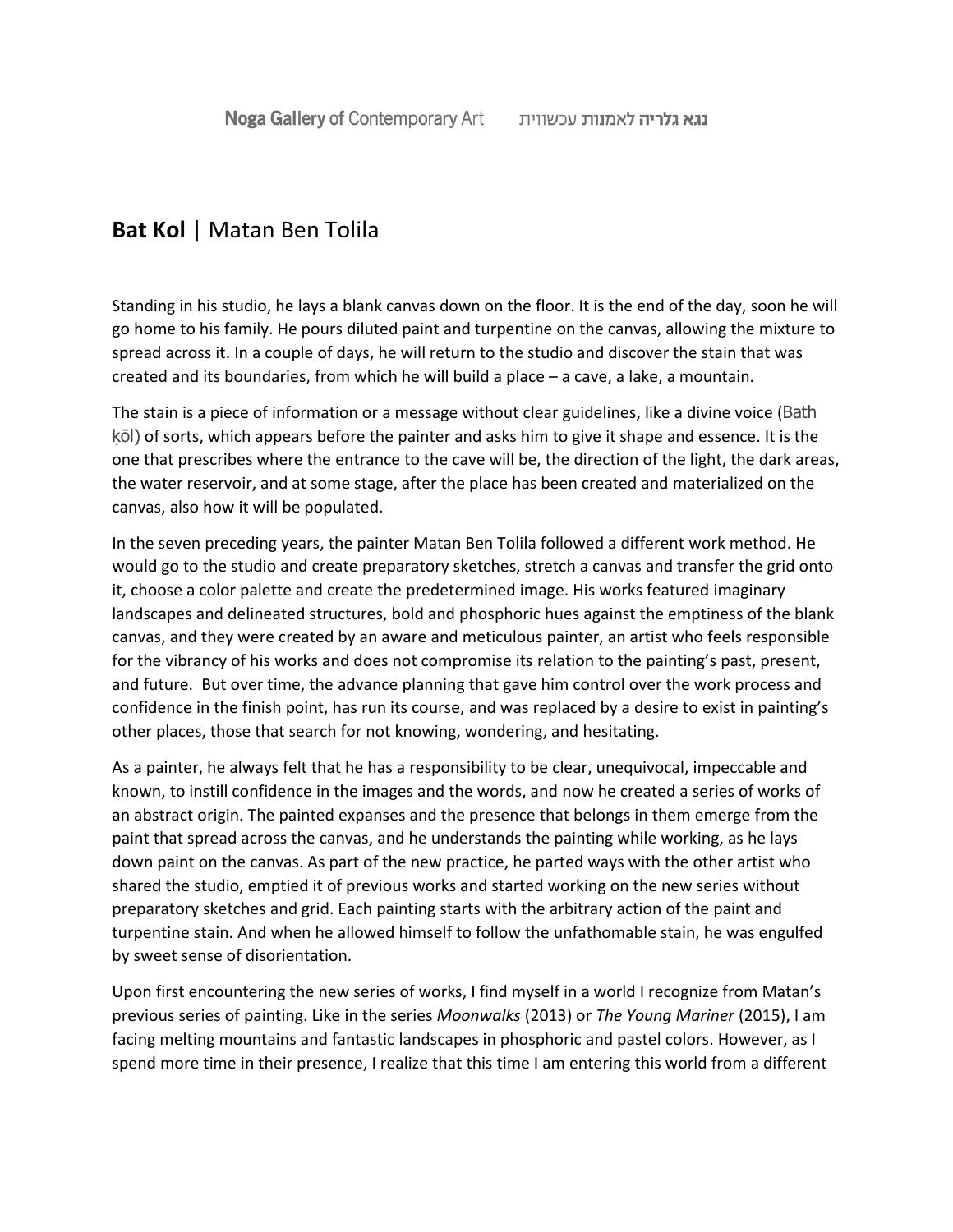## **Bat Kol** | Matan Ben Tolila

Standing in his studio, he lays a blank canvas down on the floor. It is the end of the day, soon he will go home to his family. He pours diluted paint and turpentine on the canvas, allowing the mixture to spread across it. In a couple of days, he will return to the studio and discover the stain that was created and its boundaries, from which he will build a place – a cave, a lake, a mountain.

The stain is a piece of information or a message without clear guidelines, like a divine voice (Bath ḳōl) of sorts, which appears before the painter and asks him to give it shape and essence. It is the one that prescribes where the entrance to the cave will be, the direction of the light, the dark areas, the water reservoir, and at some stage, after the place has been created and materialized on the canvas, also how it will be populated.

In the seven preceding years, the painter Matan Ben Tolila followed a different work method. He would go to the studio and create preparatory sketches, stretch a canvas and transfer the grid onto it, choose a color palette and create the predetermined image. His works featured imaginary landscapes and delineated structures, bold and phosphoric hues against the emptiness of the blank canvas, and they were created by an aware and meticulous painter, an artist who feels responsible for the vibrancy of his works and does not compromise its relation to the painting's past, present, and future. But over time, the advance planning that gave him control over the work process and confidence in the finish point, has run its course, and was replaced by a desire to exist in painting's other places, those that search for not knowing, wondering, and hesitating.

As a painter, he always felt that he has a responsibility to be clear, unequivocal, impeccable and known, to instill confidence in the images and the words, and now he created a series of works of an abstract origin. The painted expanses and the presence that belongs in them emerge from the paint that spread across the canvas, and he understands the painting while working, as he lays down paint on the canvas. As part of the new practice, he parted ways with the other artist who shared the studio, emptied it of previous works and started working on the new series without preparatory sketches and grid. Each painting starts with the arbitrary action of the paint and turpentine stain. And when he allowed himself to follow the unfathomable stain, he was engulfed by sweet sense of disorientation.

Upon first encountering the new series of works, I find myself in a world I recognize from Matan's previous series of painting. Like in the series *Moonwalks* (2013) or *The Young Mariner* (2015), I am facing melting mountains and fantastic landscapes in phosphoric and pastel colors. However, as I spend more time in their presence, I realize that this time I am entering this world from a different